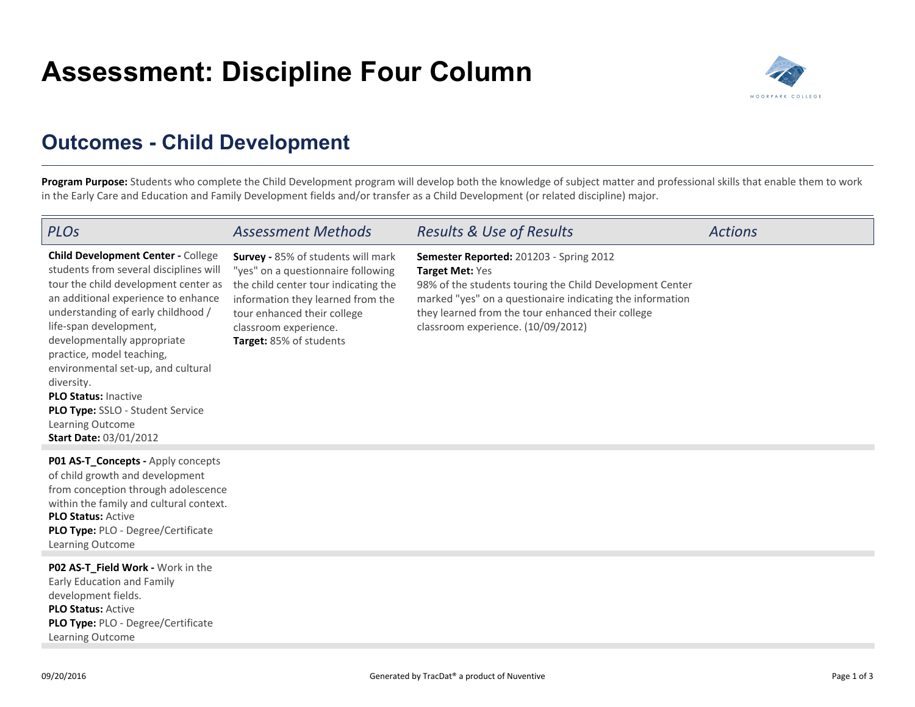## **Assessment: Discipline Four Column**



## **Outcomes - Child Development**

Program Purpose: Students who complete the Child Development program will develop both the knowledge of subject matter and professional skills that enable them to work in the Early Care and Education and Family Development fields and/or transfer as a Child Development (or related discipline) major.

| PLOS                                                                                                                                                                                                                                                                                                                                                                                                                                                                       | <b>Assessment Methods</b>                                                                                                                                                                                                                | <b>Results &amp; Use of Results</b>                                                                                                                                                                                                                                            | <b>Actions</b> |
|----------------------------------------------------------------------------------------------------------------------------------------------------------------------------------------------------------------------------------------------------------------------------------------------------------------------------------------------------------------------------------------------------------------------------------------------------------------------------|------------------------------------------------------------------------------------------------------------------------------------------------------------------------------------------------------------------------------------------|--------------------------------------------------------------------------------------------------------------------------------------------------------------------------------------------------------------------------------------------------------------------------------|----------------|
| <b>Child Development Center - College</b><br>students from several disciplines will<br>tour the child development center as<br>an additional experience to enhance<br>understanding of early childhood /<br>life-span development,<br>developmentally appropriate<br>practice, model teaching,<br>environmental set-up, and cultural<br>diversity.<br><b>PLO Status: Inactive</b><br>PLO Type: SSLO - Student Service<br>Learning Outcome<br><b>Start Date: 03/01/2012</b> | Survey - 85% of students will mark<br>"yes" on a questionnaire following<br>the child center tour indicating the<br>information they learned from the<br>tour enhanced their college<br>classroom experience.<br>Target: 85% of students | Semester Reported: 201203 - Spring 2012<br>Target Met: Yes<br>98% of the students touring the Child Development Center<br>marked "yes" on a questionaire indicating the information<br>they learned from the tour enhanced their college<br>classroom experience. (10/09/2012) |                |
| P01 AS-T_Concepts - Apply concepts<br>of child growth and development<br>from conception through adolescence<br>within the family and cultural context.<br><b>PLO Status: Active</b><br>PLO Type: PLO - Degree/Certificate<br>Learning Outcome                                                                                                                                                                                                                             |                                                                                                                                                                                                                                          |                                                                                                                                                                                                                                                                                |                |
| PO2 AS-T_Field Work - Work in the<br>Early Education and Family<br>development fields.<br><b>PLO Status: Active</b><br>PLO Type: PLO - Degree/Certificate<br>Learning Outcome                                                                                                                                                                                                                                                                                              |                                                                                                                                                                                                                                          |                                                                                                                                                                                                                                                                                |                |
| 09/20/2016                                                                                                                                                                                                                                                                                                                                                                                                                                                                 |                                                                                                                                                                                                                                          | Generated by TracDat® a product of Nuventive                                                                                                                                                                                                                                   | Page 1 of 3    |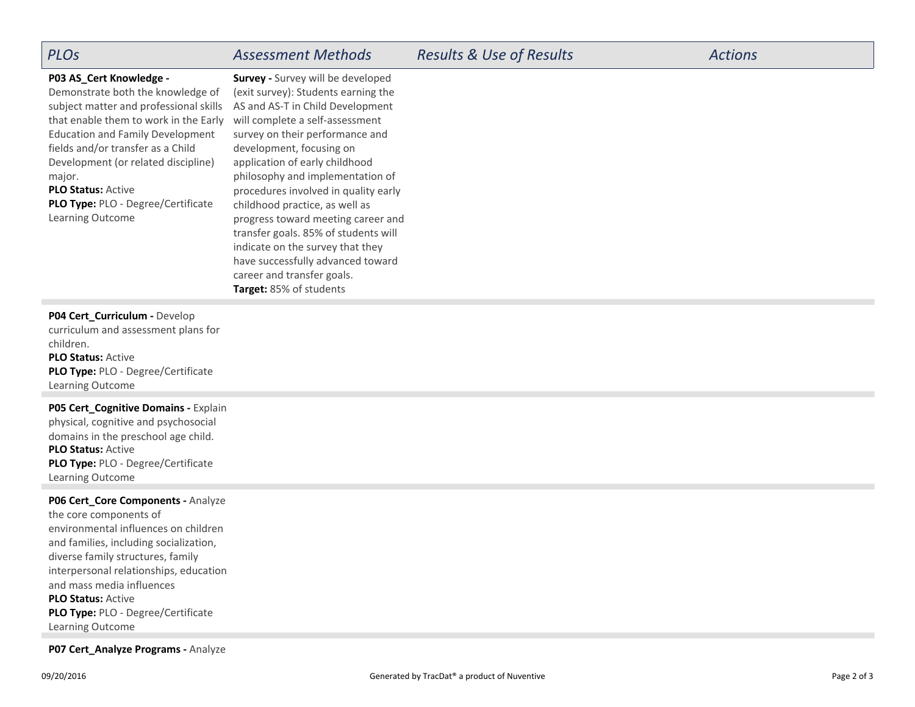| <b>PLOS</b>                                                                                                                                                                                                                                                                                                   | <b>Assessment Methods</b>                                                                                                                                                                                                                                                                                                    | <b>Results &amp; Use of Results</b> | <b>Actions</b> |
|---------------------------------------------------------------------------------------------------------------------------------------------------------------------------------------------------------------------------------------------------------------------------------------------------------------|------------------------------------------------------------------------------------------------------------------------------------------------------------------------------------------------------------------------------------------------------------------------------------------------------------------------------|-------------------------------------|----------------|
| P03 AS_Cert Knowledge -<br>Demonstrate both the knowledge of<br>subject matter and professional skills<br>that enable them to work in the Early<br><b>Education and Family Development</b><br>fields and/or transfer as a Child<br>Development (or related discipline)<br>major.<br><b>PLO Status: Active</b> | Survey - Survey will be developed<br>(exit survey): Students earning the<br>AS and AS-T in Child Development<br>will complete a self-assessment<br>survey on their performance and<br>development, focusing on<br>application of early childhood<br>philosophy and implementation of<br>procedures involved in quality early |                                     |                |
| <b>PLO Type: PLO - Degree/Certificate</b><br>Learning Outcome                                                                                                                                                                                                                                                 | childhood practice, as well as<br>progress toward meeting career and<br>transfer goals. 85% of students will<br>indicate on the survey that they<br>have successfully advanced toward<br>career and transfer goals.                                                                                                          |                                     |                |

## P04 Cert\_Curriculum - Develop

**PLO Status:** Active **PLO Type:** PLO - Degree/CertificateLearning Outcome curriculum and assessment plans forchildren.

**Target:** 85% of students

**PLO Status:** Active **PLO Type:** PLO - Degree/CertificateLearning Outcome**P05 Cert\_Cognitive Domains -** Explainphysical, cognitive and psychosocialdomains in the preschool age child.

**P06 Cert\_Core Components -** Analyze

**PLO Status:** Active **PLO Type:** PLO - Degree/CertificateLearning Outcomethe core components of environmental influences on children and families, including socialization,diverse family structures, family interpersonal relationships, educationand mass media influences

**P07 Cert\_Analyze Programs - Analyze**